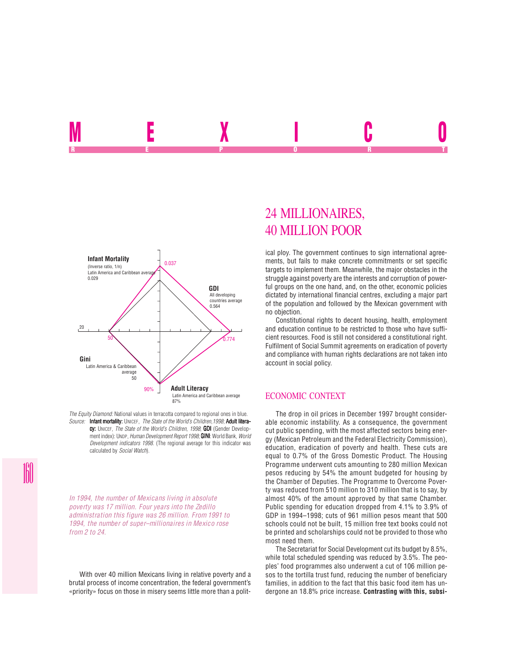

*The Equity Diamond:* National values in terracotta compared to regional ones in blue. *Source:* Infant mortality: UNICEF. The State of the World's Children, 1998; Adult literacy: UNICEF, *The State of the World's Children, 1998*; **GDI** (Gender Development index): UNDP, *Human Development Report 1998*; **GINI**: World Bank, *World Development indicators 1998*. (The regional average for this indicator was calculated by *Social Watch*).

*In 1994, the number of Mexicans living in absolute poverty was 17 million. Four years into the Zedillo administration this figure was 26 million. From 1991 to 1994, the number of super–millionaires in Mexico rose from 2 to 24.*

With over 40 million Mexicans living in relative poverty and a brutal process of income concentration, the federal government's «priority» focus on those in misery seems little more than a polit-

# 24 MILLIONAIRES, 40 MILLION POOR

<u>MEXICO A</u> REPORT OF STATE REPORT OF STATE REPORT OF STATE REPORT OF STATE REPORT OF STATE REPORT OF STATE REPORT OF STATE REPORT OF STATE REPORT OF STATE REPORT OF STATE REPORT OF STATE REPORT OF STATE REPORT OF STATE REPORT OF STAT

> ical ploy. The government continues to sign international agreements, but fails to make concrete commitments or set specific targets to implement them. Meanwhile, the major obstacles in the struggle against poverty are the interests and corruption of powerful groups on the one hand, and, on the other, economic policies dictated by international financial centres, excluding a major part of the population and followed by the Mexican government with no objection.

> Constitutional rights to decent housing, health, employment and education continue to be restricted to those who have sufficient resources. Food is still not considered a constitutional right. Fulfilment of Social Summit agreements on eradication of poverty and compliance with human rights declarations are not taken into account in social policy.

# ECONOMIC CONTEXT

The drop in oil prices in December 1997 brought considerable economic instability. As a consequence, the government cut public spending, with the most affected sectors being energy (Mexican Petroleum and the Federal Electricity Commission), education, eradication of poverty and health. These cuts are equal to 0.7% of the Gross Domestic Product. The Housing Programme underwent cuts amounting to 280 million Mexican pesos reducing by 54% the amount budgeted for housing by the Chamber of Deputies. The Programme to Overcome Poverty was reduced from 510 million to 310 million that is to say, by almost 40% of the amount approved by that same Chamber. Public spending for education dropped from 4.1% to 3.9% of GDP in 1994–1998; cuts of 961 million pesos meant that 500 schools could not be built, 15 million free text books could not be printed and scholarships could not be provided to those who most need them.

The Secretariat for Social Development cut its budget by 8.5%, while total scheduled spending was reduced by 3.5%. The peoples' food programmes also underwent a cut of 106 million pesos to the tortilla trust fund, reducing the number of beneficiary families, in addition to the fact that this basic food item has undergone an 18.8% price increase. **Contrasting with this, subsi-**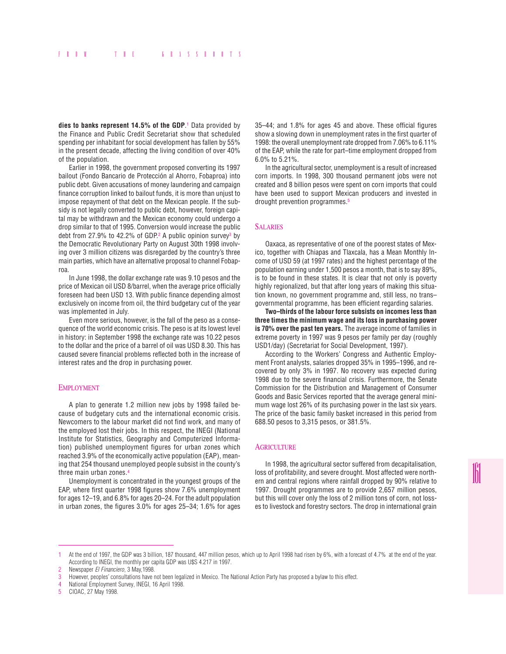**dies to banks represent 14.5% of the GDP**. 1 Data provided by the Finance and Public Credit Secretariat show that scheduled spending per inhabitant for social development has fallen by 55% in the present decade, affecting the living condition of over 40% of the population.

Earlier in 1998, the government proposed converting its 1997 bailout (Fondo Bancario de Protección al Ahorro, Fobaproa) into public debt. Given accusations of money laundering and campaign finance corruption linked to bailout funds, it is more than unjust to impose repayment of that debt on the Mexican people. If the subsidy is not legally converted to public debt, however, foreign capital may be withdrawn and the Mexican economy could undergo a drop similar to that of 1995. Conversion would increase the public debt from 27.9% to 42.2% of GDP. $2$  A public opinion survey $3$  by the Democratic Revolutionary Party on August 30th 1998 involving over 3 million citizens was disregarded by the country's three main parties, which have an alternative proposal to channel Fobaproa.

In June 1998, the dollar exchange rate was 9.10 pesos and the price of Mexican oil USD 8/barrel, when the average price officially foreseen had been USD 13. With public finance depending almost exclusively on income from oil, the third budgetary cut of the year was implemented in July.

Even more serious, however, is the fall of the peso as a consequence of the world economic crisis. The peso is at its lowest level in history: in September 1998 the exchange rate was 10.22 pesos to the dollar and the price of a barrel of oil was USD 8.30. This has caused severe financial problems reflected both in the increase of interest rates and the drop in purchasing power.

#### EMPLOYMENT

A plan to generate 1.2 million new jobs by 1998 failed because of budgetary cuts and the international economic crisis. Newcomers to the labour market did not find work, and many of the employed lost their jobs. In this respect, the INEGI (National Institute for Statistics, Geography and Computerized Information) published unemployment figures for urban zones which reached 3.9% of the economically active population (EAP), meaning that 254 thousand unemployed people subsist in the county's three main urban zones.4

Unemployment is concentrated in the youngest groups of the EAP, where first quarter 1998 figures show 7.6% unemployment for ages 12–19, and 6.8% for ages 20–24. For the adult population in urban zones, the figures 3.0% for ages 25–34; 1.6% for ages

35–44; and 1.8% for ages 45 and above. These official figures show a slowing down in unemployment rates in the first quarter of 1998: the overall unemployment rate dropped from 7.06% to 6.11% of the EAP, while the rate for part–time employment dropped from 6.0% to 5.21%.

In the agricultural sector, unemployment is a result of increased corn imports. In 1998, 300 thousand permanent jobs were not created and 8 billion pesos were spent on corn imports that could have been used to support Mexican producers and invested in drought prevention programmes.5

# **SALARIES**

Oaxaca, as representative of one of the poorest states of Mexico, together with Chiapas and Tlaxcala, has a Mean Monthly Income of USD 59 (at 1997 rates) and the highest percentage of the population earning under 1,500 pesos a month, that is to say 89%, is to be found in these states. It is clear that not only is poverty highly regionalized, but that after long years of making this situation known, no government programme and, still less, no trans– governmental programme, has been efficient regarding salaries.

**Two–thirds of the labour force subsists on incomes less than three times the minimum wage and its loss in purchasing power is 70% over the past ten years.** The average income of families in extreme poverty in 1997 was 9 pesos per family per day (roughly USD1/day) (Secretariat for Social Development, 1997).

According to the Workers' Congress and Authentic Employment Front analysts, salaries dropped 35% in 1995–1996, and recovered by only 3% in 1997. No recovery was expected during 1998 due to the severe financial crisis. Furthermore, the Senate Commission for the Distribution and Management of Consumer Goods and Basic Services reported that the average general minimum wage lost 26% of its purchasing power in the last six years. The price of the basic family basket increased in this period from 688.50 pesos to 3,315 pesos, or 381.5%.

#### **AGRICULTURE**

In 1998, the agricultural sector suffered from decapitalisation, loss of profitability, and severe drought. Most affected were northern and central regions where rainfall dropped by 90% relative to 1997. Drought programmes are to provide 2,657 million pesos, but this will cover only the loss of 2 million tons of corn, not losses to livestock and forestry sectors. The drop in international grain

<sup>1</sup> At the end of 1997, the GDP was 3 billion, 187 thousand, 447 million pesos, which up to April 1998 had risen by 6%, with a forecast of 4.7% at the end of the year. According to INEGI, the monthly per capita GDP was U\$S 4.217 in 1997.

<sup>2</sup> Newspaper *El Financiero*, 3 May,1998.

<sup>3</sup> However, peoples' consultations have not been legalized in Mexico. The National Action Party has proposed a bylaw to this effect.

<sup>4</sup> National Employment Survey, INEGI, 16 April 1998.

<sup>5</sup> CIOAC, 27 May 1998.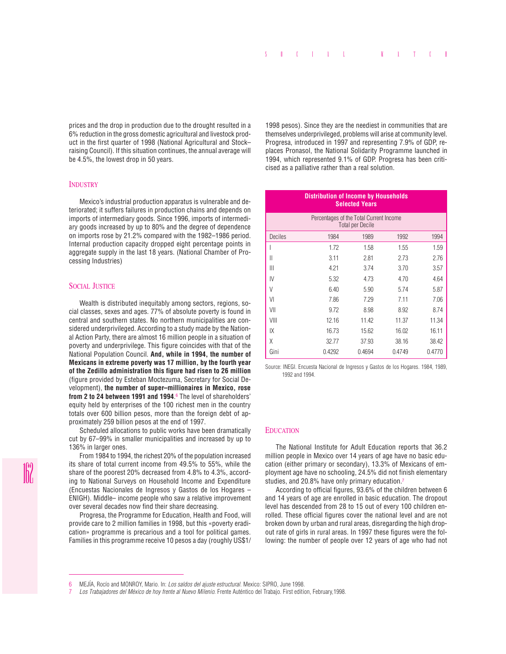prices and the drop in production due to the drought resulted in a 6% reduction in the gross domestic agricultural and livestock product in the first quarter of 1998 (National Agricultural and Stock– raising Council). If this situation continues, the annual average will be 4.5%, the lowest drop in 50 years.

#### **INDUSTRY**

Mexico's industrial production apparatus is vulnerable and deteriorated; it suffers failures in production chains and depends on imports of intermediary goods. Since 1996, imports of intermediary goods increased by up to 80% and the degree of dependence on imports rose by 21.2% compared with the 1982–1986 period. Internal production capacity dropped eight percentage points in aggregate supply in the last 18 years. (National Chamber of Processing Industries)

## SOCIAL JUSTICE

Wealth is distributed inequitably among sectors, regions, social classes, sexes and ages. 77% of absolute poverty is found in central and southern states. No northern municipalities are considered underprivileged. According to a study made by the National Action Party, there are almost 16 million people in a situation of poverty and underprivilege. This figure coincides with that of the National Population Council. **And, while in 1994, the number of Mexicans in extreme poverty was 17 million, by the fourth year of the Zedillo administration this figure had risen to 26 million** (figure provided by Esteban Moctezuma, Secretary for Social Development), **the number of super–millionaires in Mexico, rose from 2 to 24 between 1991 and 1994**. 6 The level of shareholders' equity held by enterprises of the 100 richest men in the country totals over 600 billion pesos, more than the foreign debt of approximately 259 billion pesos at the end of 1997.

Scheduled allocations to public works have been dramatically cut by 67–99% in smaller municipalities and increased by up to 136% in larger ones.

From 1984 to 1994, the richest 20% of the population increased its share of total current income from 49.5% to 55%, while the share of the poorest 20% decreased from 4.8% to 4.3%, according to National Surveys on Household Income and Expenditure (Encuestas Nacionales de Ingresos y Gastos de los Hogares – ENIGH). Middle– income people who saw a relative improvement over several decades now find their share decreasing.

Progresa, the Programme for Education, Health and Food, will provide care to 2 million families in 1998, but this «poverty eradication» programme is precarious and a tool for political games. Families in this programme receive 10 pesos a day (roughly US\$1/

1998 pesos). Since they are the neediest in communities that are themselves underprivileged, problems will arise at community level. Progresa, introduced in 1997 and representing 7.9% of GDP, replaces Pronasol, the National Solidarity Programme launched in 1994, which represented 9.1% of GDP. Progresa has been criticised as a palliative rather than a real solution.

| <b>Distribution of Income by Households</b><br><b>Selected Years</b> |        |        |        |        |
|----------------------------------------------------------------------|--------|--------|--------|--------|
| Percentages of the Total Current Income<br><b>Total per Decile</b>   |        |        |        |        |
| <b>Deciles</b>                                                       | 1984   | 1989   | 1992   | 1994   |
|                                                                      | 1.72   | 1.58   | 1.55   | 1.59   |
| Ш                                                                    | 3.11   | 2.81   | 2.73   | 2.76   |
| Ш                                                                    | 4.21   | 3.74   | 3.70   | 3.57   |
| IV                                                                   | 5.32   | 4.73   | 4.70   | 4.64   |
| V                                                                    | 6.40   | 5.90   | 5.74   | 5.87   |
| VI                                                                   | 7.86   | 7.29   | 7.11   | 7.06   |
| VII                                                                  | 9.72   | 8.98   | 8.92   | 8.74   |
| VIII                                                                 | 12.16  | 11.42  | 11.37  | 11.34  |
| IX                                                                   | 16.73  | 15.62  | 16.02  | 16.11  |
| Χ                                                                    | 32.77  | 37.93  | 38.16  | 38.42  |
| Gini                                                                 | 0.4292 | 0.4694 | 0.4749 | 0.4770 |

Source: INEGI. Encuesta Nacional de Ingresos y Gastos de los Hogares. 1984, 1989, 1992 and 1994.

## **EDUCATION**

The National Institute for Adult Education reports that 36.2 million people in Mexico over 14 years of age have no basic education (either primary or secondary), 13.3% of Mexicans of employment age have no schooling, 24.5% did not finish elementary studies, and 20.8% have only primary education.7

According to official figures, 93.6% of the children between 6 and 14 years of age are enrolled in basic education. The dropout level has descended from 28 to 15 out of every 100 children enrolled. These official figures cover the national level and are not broken down by urban and rural areas, disregarding the high dropout rate of girls in rural areas. In 1997 these figures were the following: the number of people over 12 years of age who had not

<sup>6</sup> MEJÍA, Rocío and MONROY, Mario. In: *Los saldos del ajuste estructural*. Mexico: SIPRO, June 1998.

<sup>7</sup> *Los Trabajadores del México de hoy frente al Nuevo Milenio*. Frente Auténtico del Trabajo. First edition, February,1998.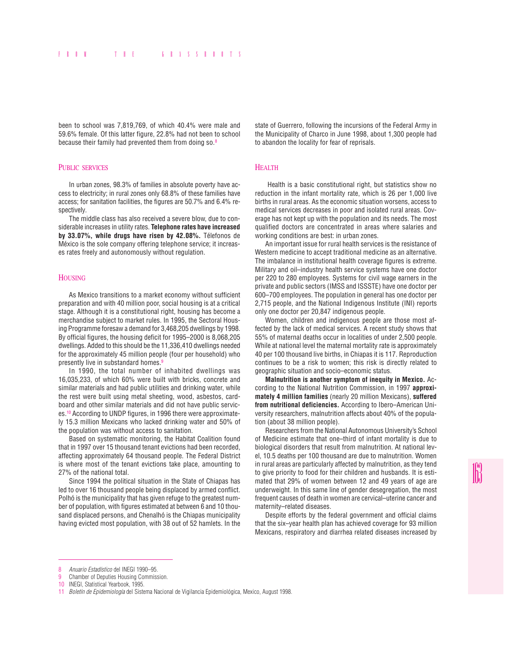been to school was 7,819,769, of which 40.4% were male and 59.6% female. Of this latter figure, 22.8% had not been to school because their family had prevented them from doing so.8

## PUBLIC SERVICES

In urban zones, 98.3% of families in absolute poverty have access to electricity; in rural zones only 68.8% of these families have access; for sanitation facilities, the figures are 50.7% and 6.4% respectively.

The middle class has also received a severe blow, due to considerable increases in utility rates. **Telephone rates have increased by 33.07%, while drugs have risen by 42.08%.** Télefonos de México is the sole company offering telephone service; it increases rates freely and autonomously without regulation.

# HOUSING

As Mexico transitions to a market economy without sufficient preparation and with 40 million poor, social housing is at a critical stage. Although it is a constitutional right, housing has become a merchandise subject to market rules. In 1995, the Sectoral Housing Programme foresaw a demand for 3,468,205 dwellings by 1998. By official figures, the housing deficit for 1995–2000 is 8,068,205 dwellings. Added to this should be the 11,336,410 dwellings needed for the approximately 45 million people (four per household) who presently live in substandard homes.<sup>9</sup>

In 1990, the total number of inhabited dwellings was 16,035,233, of which 60% were built with bricks, concrete and similar materials and had public utilities and drinking water, while the rest were built using metal sheeting, wood, asbestos, cardboard and other similar materials and did not have public services.10 According to UNDP figures, in 1996 there were approximately 15.3 million Mexicans who lacked drinking water and 50% of the population was without access to sanitation.

Based on systematic monitoring, the Habitat Coalition found that in 1997 over 15 thousand tenant evictions had been recorded, affecting approximately 64 thousand people. The Federal District is where most of the tenant evictions take place, amounting to 27% of the national total.

Since 1994 the political situation in the State of Chiapas has led to over 16 thousand people being displaced by armed conflict. Polhó is the municipality that has given refuge to the greatest number of population, with figures estimated at between 6 and 10 thousand displaced persons, and Chenalhó is the Chiapas municipality having evicted most population, with 38 out of 52 hamlets. In the

state of Guerrero, following the incursions of the Federal Army in the Municipality of Charco in June 1998, about 1,300 people had to abandon the locality for fear of reprisals.

## **HEALTH**

 Health is a basic constitutional right, but statistics show no reduction in the infant mortality rate, which is 26 per 1,000 live births in rural areas. As the economic situation worsens, access to medical services decreases in poor and isolated rural areas. Coverage has not kept up with the population and its needs. The most qualified doctors are concentrated in areas where salaries and working conditions are best: in urban zones.

An important issue for rural health services is the resistance of Western medicine to accept traditional medicine as an alternative. The imbalance in institutional health coverage figures is extreme. Military and oil–industry health service systems have one doctor per 220 to 280 employees. Systems for civil wage earners in the private and public sectors (IMSS and ISSSTE) have one doctor per 600–700 employees. The population in general has one doctor per 2,715 people, and the National Indigenous Institute (INI) reports only one doctor per 20,847 indigenous people.

Women, children and indigenous people are those most affected by the lack of medical services. A recent study shows that 55% of maternal deaths occur in localities of under 2,500 people. While at national level the maternal mortality rate is approximately 40 per 100 thousand live births, in Chiapas it is 117. Reproduction continues to be a risk to women; this risk is directly related to geographic situation and socio–economic status.

**Malnutrition is another symptom of inequity in Mexico.** According to the National Nutrition Commission, in 1997 **approximately 4 million families** (nearly 20 million Mexicans), **suffered from nutritional deficiencies.** According to Ibero–American University researchers, malnutrition affects about 40% of the population (about 38 million people).

Researchers from the National Autonomous University's School of Medicine estimate that one–third of infant mortality is due to biological disorders that result from malnutrition. At national level, 10.5 deaths per 100 thousand are due to malnutrition. Women in rural areas are particularly affected by malnutrition, as they tend to give priority to food for their children and husbands. It is estimated that 29% of women between 12 and 49 years of age are underweight. In this same line of gender desegregation, the most frequent causes of death in women are cervical–uterine cancer and maternity–related diseases.

Despite efforts by the federal government and official claims that the six–year health plan has achieved coverage for 93 million Mexicans, respiratory and diarrhea related diseases increased by

<sup>8</sup> *Anuario Estadístico* del INEGI 1990–95.

<sup>9</sup> Chamber of Deputies Housing Commission.

<sup>10</sup> INEGI, Statistical Yearbook, 1995.

<sup>11</sup> *Boletín de Epidemiología* del Sistema Nacional de Vigilancia Epidemiológica, Mexico, August 1998.